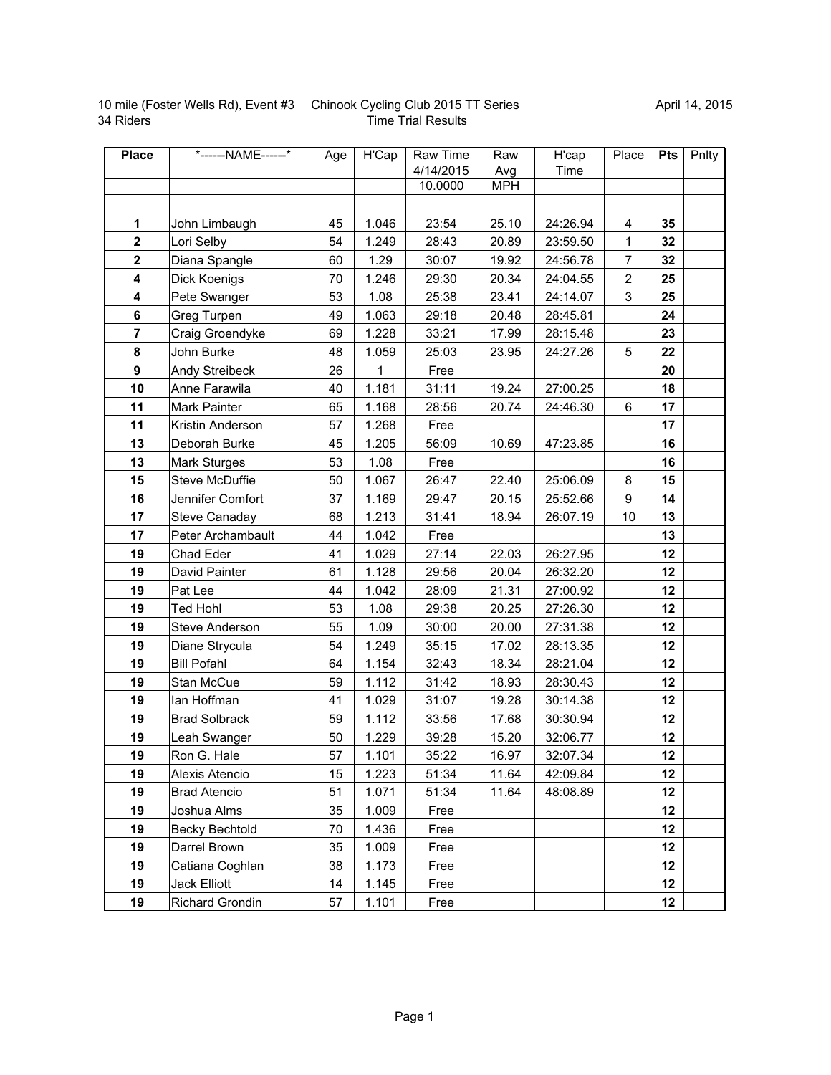|           | 10 mile (Foster Wells Rd), Event #3 Chinook Cycling Club 2015 TT Series |
|-----------|-------------------------------------------------------------------------|
| 34 Riders | <b>Time Trial Results</b>                                               |

| <b>Place</b>            | *------NAME------*   | Age | H'Cap       | Raw Time  | Raw        | H'cap    | Place          | Pts | Pnlty |
|-------------------------|----------------------|-----|-------------|-----------|------------|----------|----------------|-----|-------|
|                         |                      |     |             | 4/14/2015 | Avg        | Time     |                |     |       |
|                         |                      |     |             | 10.0000   | <b>MPH</b> |          |                |     |       |
|                         |                      |     |             |           |            |          |                |     |       |
| $\mathbf 1$             | John Limbaugh        | 45  | 1.046       | 23:54     | 25.10      | 24:26.94 | 4              | 35  |       |
| $\mathbf{2}$            | Lori Selby           | 54  | 1.249       | 28:43     | 20.89      | 23:59.50 | 1              | 32  |       |
| $\overline{\mathbf{2}}$ | Diana Spangle        | 60  | 1.29        | 30:07     | 19.92      | 24:56.78 | $\overline{7}$ | 32  |       |
| 4                       | Dick Koenigs         | 70  | 1.246       | 29:30     | 20.34      | 24:04.55 | $\overline{c}$ | 25  |       |
| 4                       | Pete Swanger         | 53  | 1.08        | 25:38     | 23.41      | 24:14.07 | 3              | 25  |       |
| 6                       | Greg Turpen          | 49  | 1.063       | 29:18     | 20.48      | 28:45.81 |                | 24  |       |
| $\overline{7}$          | Craig Groendyke      | 69  | 1.228       | 33:21     | 17.99      | 28:15.48 |                | 23  |       |
| 8                       | John Burke           | 48  | 1.059       | 25:03     | 23.95      | 24:27.26 | 5              | 22  |       |
| 9                       | Andy Streibeck       | 26  | $\mathbf 1$ | Free      |            |          |                | 20  |       |
| 10                      | Anne Farawila        | 40  | 1.181       | 31:11     | 19.24      | 27:00.25 |                | 18  |       |
| 11                      | Mark Painter         | 65  | 1.168       | 28:56     | 20.74      | 24:46.30 | 6              | 17  |       |
| 11                      | Kristin Anderson     | 57  | 1.268       | Free      |            |          |                | 17  |       |
| 13                      | Deborah Burke        | 45  | 1.205       | 56:09     | 10.69      | 47:23.85 |                | 16  |       |
| 13                      | Mark Sturges         | 53  | 1.08        | Free      |            |          |                | 16  |       |
| 15                      | Steve McDuffie       | 50  | 1.067       | 26:47     | 22.40      | 25:06.09 | 8              | 15  |       |
| 16                      | Jennifer Comfort     | 37  | 1.169       | 29:47     | 20.15      | 25:52.66 | 9              | 14  |       |
| 17                      | Steve Canaday        | 68  | 1.213       | 31:41     | 18.94      | 26:07.19 | 10             | 13  |       |
| 17                      | Peter Archambault    | 44  | 1.042       | Free      |            |          |                | 13  |       |
| 19                      | Chad Eder            | 41  | 1.029       | 27:14     | 22.03      | 26:27.95 |                | 12  |       |
| 19                      | David Painter        | 61  | 1.128       | 29:56     | 20.04      | 26:32.20 |                | 12  |       |
| 19                      | Pat Lee              | 44  | 1.042       | 28:09     | 21.31      | 27:00.92 |                | 12  |       |
| 19                      | <b>Ted Hohl</b>      | 53  | 1.08        | 29:38     | 20.25      | 27:26.30 |                | 12  |       |
| 19                      | Steve Anderson       | 55  | 1.09        | 30:00     | 20.00      | 27:31.38 |                | 12  |       |
| 19                      | Diane Strycula       | 54  | 1.249       | 35:15     | 17.02      | 28:13.35 |                | 12  |       |
| 19                      | <b>Bill Pofahl</b>   | 64  | 1.154       | 32:43     | 18.34      | 28:21.04 |                | 12  |       |
| 19                      | Stan McCue           | 59  | 1.112       | 31:42     | 18.93      | 28:30.43 |                | 12  |       |
| 19                      | lan Hoffman          | 41  | 1.029       | 31:07     | 19.28      | 30:14.38 |                | 12  |       |
| 19                      | <b>Brad Solbrack</b> | 59  | 1.112       | 33:56     | 17.68      | 30:30.94 |                | 12  |       |
| 19                      | Leah Swanger         | 50  | 1.229       | 39:28     | 15.20      | 32:06.77 |                | 12  |       |
| 19                      | Ron G. Hale          | 57  | 1.101       | 35:22     | 16.97      | 32:07.34 |                | 12  |       |
| 19                      | Alexis Atencio       | 15  | 1.223       | 51:34     | 11.64      | 42:09.84 |                | 12  |       |
| 19                      | <b>Brad Atencio</b>  | 51  | 1.071       | 51:34     | 11.64      | 48:08.89 |                | 12  |       |
| 19                      | Joshua Alms          | 35  | 1.009       | Free      |            |          |                | 12  |       |
| 19                      | Becky Bechtold       | 70  | 1.436       | Free      |            |          |                | 12  |       |
| 19                      | Darrel Brown         | 35  | 1.009       | Free      |            |          |                | 12  |       |
| 19                      | Catiana Coghlan      | 38  | 1.173       | Free      |            |          |                | 12  |       |
| 19                      | Jack Elliott         | 14  | 1.145       | Free      |            |          |                | 12  |       |
| 19                      | Richard Grondin      | 57  | 1.101       | Free      |            |          |                | 12  |       |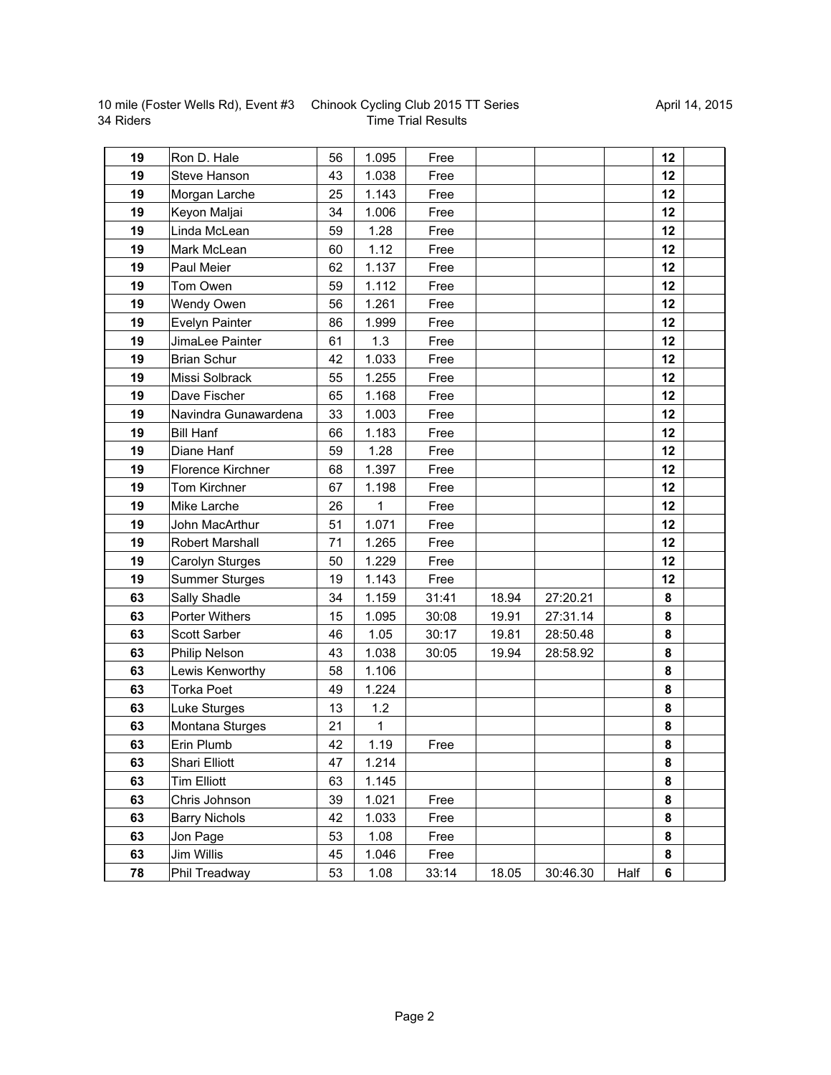10 mile (Foster Wells Rd), Event #3 34 Riders

## Chinook Cycling Club 2015 TT Series Time Trial Results

| 19 | Ron D. Hale            | 56 | 1.095 | Free  |       |          |      | 12     |  |
|----|------------------------|----|-------|-------|-------|----------|------|--------|--|
| 19 | Steve Hanson           | 43 | 1.038 | Free  |       |          |      | 12     |  |
| 19 | Morgan Larche          | 25 | 1.143 | Free  |       |          |      | 12     |  |
| 19 | Keyon Maljai           | 34 | 1.006 | Free  |       |          |      | 12     |  |
| 19 | Linda McLean           | 59 | 1.28  | Free  |       |          |      | 12     |  |
| 19 | Mark McLean            | 60 | 1.12  | Free  |       |          |      | 12     |  |
| 19 | Paul Meier             | 62 | 1.137 | Free  |       |          |      | 12     |  |
| 19 | Tom Owen               | 59 | 1.112 | Free  |       |          |      | 12     |  |
| 19 | Wendy Owen             | 56 | 1.261 | Free  |       |          |      | 12     |  |
| 19 | Evelyn Painter         | 86 | 1.999 | Free  |       |          |      | 12     |  |
| 19 | JimaLee Painter        | 61 | 1.3   | Free  |       |          |      | 12     |  |
| 19 | <b>Brian Schur</b>     | 42 | 1.033 | Free  |       |          |      | 12     |  |
| 19 | Missi Solbrack         | 55 | 1.255 | Free  |       |          |      | 12     |  |
| 19 | Dave Fischer           | 65 | 1.168 | Free  |       |          |      | 12     |  |
| 19 | Navindra Gunawardena   | 33 | 1.003 | Free  |       |          |      | 12     |  |
| 19 | <b>Bill Hanf</b>       | 66 | 1.183 | Free  |       |          |      | 12     |  |
| 19 | Diane Hanf             | 59 | 1.28  | Free  |       |          |      | 12     |  |
| 19 | Florence Kirchner      | 68 | 1.397 | Free  |       |          |      | 12     |  |
| 19 | Tom Kirchner           | 67 | 1.198 | Free  |       |          |      | 12     |  |
| 19 | Mike Larche            | 26 | 1     | Free  |       |          |      | 12     |  |
| 19 | John MacArthur         | 51 | 1.071 | Free  |       |          |      | 12     |  |
| 19 | <b>Robert Marshall</b> | 71 | 1.265 | Free  |       |          |      | 12     |  |
| 19 | Carolyn Sturges        | 50 | 1.229 | Free  |       |          |      | 12     |  |
| 19 | <b>Summer Sturges</b>  | 19 | 1.143 | Free  |       |          |      | 12     |  |
| 63 | Sally Shadle           | 34 | 1.159 | 31:41 | 18.94 | 27:20.21 |      | 8      |  |
| 63 | Porter Withers         | 15 | 1.095 | 30:08 | 19.91 | 27:31.14 |      | 8      |  |
| 63 | Scott Sarber           | 46 | 1.05  | 30:17 | 19.81 | 28:50.48 |      | 8      |  |
| 63 | <b>Philip Nelson</b>   | 43 | 1.038 | 30:05 | 19.94 | 28:58.92 |      | 8      |  |
| 63 | Lewis Kenworthy        | 58 | 1.106 |       |       |          |      | 8      |  |
| 63 | <b>Torka Poet</b>      | 49 | 1.224 |       |       |          |      | 8      |  |
| 63 | Luke Sturges           | 13 | 1.2   |       |       |          |      | 8      |  |
| 63 | Montana Sturges        | 21 | 1     |       |       |          |      | 8      |  |
| 63 | Erin Plumb             | 42 | 1.19  | Free  |       |          |      | 8      |  |
| 63 | Shari Elliott          | 47 | 1.214 |       |       |          |      | 8      |  |
| 63 | <b>Tim Elliott</b>     | 63 | 1.145 |       |       |          |      | 8      |  |
| 63 | Chris Johnson          | 39 | 1.021 | Free  |       |          |      | $\bf8$ |  |
| 63 | <b>Barry Nichols</b>   | 42 | 1.033 | Free  |       |          |      | 8      |  |
| 63 | Jon Page               | 53 | 1.08  | Free  |       |          |      | 8      |  |
| 63 | Jim Willis             | 45 | 1.046 | Free  |       |          |      | 8      |  |
| 78 | Phil Treadway          | 53 | 1.08  | 33:14 | 18.05 | 30:46.30 | Half | 6      |  |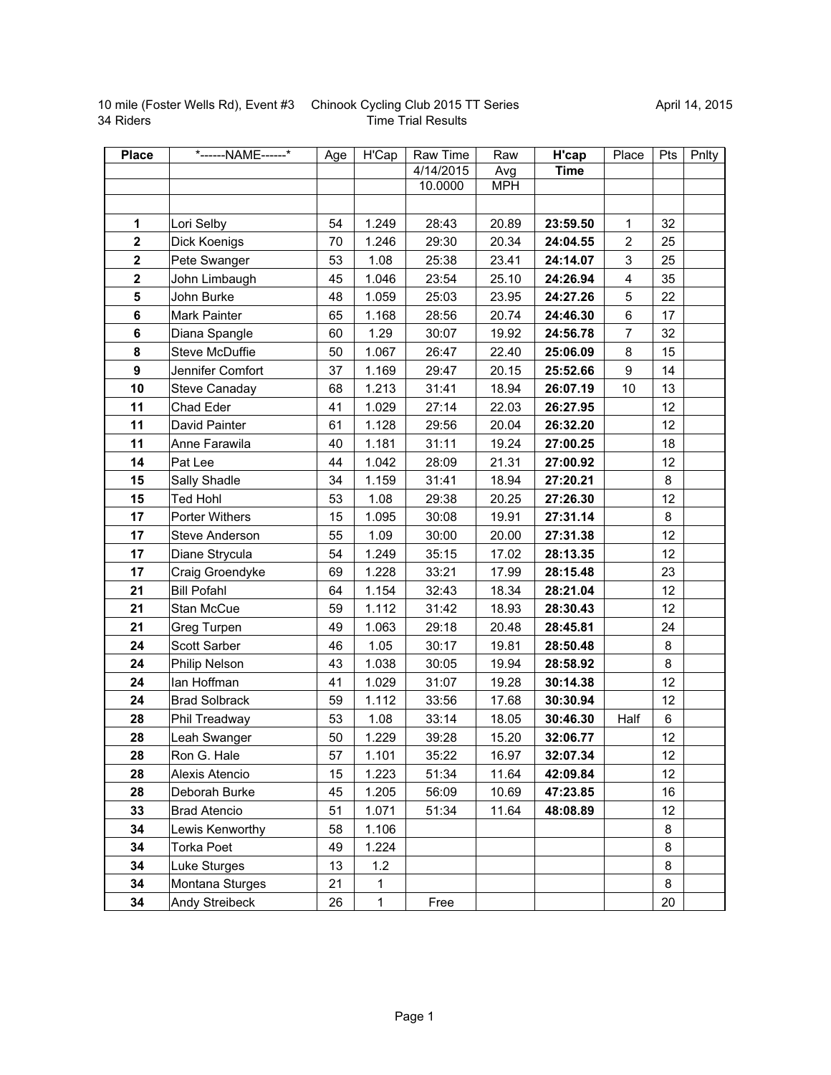|           | 10 mile (Foster Wells Rd), Event #3 Chinook Cycling Club 2015 TT Series |
|-----------|-------------------------------------------------------------------------|
| 34 Riders | <b>Time Trial Results</b>                                               |

| <b>Place</b>     | *------NAME------*   | Age | H'Cap        | Raw Time  | Raw        | H'cap       | Place                   | Pts | Pnlty |
|------------------|----------------------|-----|--------------|-----------|------------|-------------|-------------------------|-----|-------|
|                  |                      |     |              | 4/14/2015 | Avg        | <b>Time</b> |                         |     |       |
|                  |                      |     |              | 10.0000   | <b>MPH</b> |             |                         |     |       |
|                  |                      |     |              |           |            |             |                         |     |       |
| $\mathbf 1$      | Lori Selby           | 54  | 1.249        | 28:43     | 20.89      | 23:59.50    | 1                       | 32  |       |
| $\mathbf{2}$     | Dick Koenigs         | 70  | 1.246        | 29:30     | 20.34      | 24:04.55    | $\overline{c}$          | 25  |       |
| $\mathbf{2}$     | Pete Swanger         | 53  | 1.08         | 25:38     | 23.41      | 24:14.07    | 3                       | 25  |       |
| $\mathbf 2$      | John Limbaugh        | 45  | 1.046        | 23:54     | 25.10      | 24:26.94    | $\overline{\mathbf{4}}$ | 35  |       |
| 5                | John Burke           | 48  | 1.059        | 25:03     | 23.95      | 24:27.26    | 5                       | 22  |       |
| 6                | Mark Painter         | 65  | 1.168        | 28:56     | 20.74      | 24:46.30    | 6                       | 17  |       |
| $6\phantom{a}$   | Diana Spangle        | 60  | 1.29         | 30:07     | 19.92      | 24:56.78    | $\overline{7}$          | 32  |       |
| 8                | Steve McDuffie       | 50  | 1.067        | 26:47     | 22.40      | 25:06.09    | 8                       | 15  |       |
| $\boldsymbol{9}$ | Jennifer Comfort     | 37  | 1.169        | 29:47     | 20.15      | 25:52.66    | 9                       | 14  |       |
| 10               | Steve Canaday        | 68  | 1.213        | 31:41     | 18.94      | 26:07.19    | 10                      | 13  |       |
| 11               | Chad Eder            | 41  | 1.029        | 27:14     | 22.03      | 26:27.95    |                         | 12  |       |
| 11               | David Painter        | 61  | 1.128        | 29:56     | 20.04      | 26:32.20    |                         | 12  |       |
| 11               | Anne Farawila        | 40  | 1.181        | 31:11     | 19.24      | 27:00.25    |                         | 18  |       |
| 14               | Pat Lee              | 44  | 1.042        | 28:09     | 21.31      | 27:00.92    |                         | 12  |       |
| 15               | Sally Shadle         | 34  | 1.159        | 31:41     | 18.94      | 27:20.21    |                         | 8   |       |
| 15               | <b>Ted Hohl</b>      | 53  | 1.08         | 29:38     | 20.25      | 27:26.30    |                         | 12  |       |
| 17               | Porter Withers       | 15  | 1.095        | 30:08     | 19.91      | 27:31.14    |                         | 8   |       |
| 17               | Steve Anderson       | 55  | 1.09         | 30:00     | 20.00      | 27:31.38    |                         | 12  |       |
| 17               | Diane Strycula       | 54  | 1.249        | 35:15     | 17.02      | 28:13.35    |                         | 12  |       |
| 17               | Craig Groendyke      | 69  | 1.228        | 33:21     | 17.99      | 28:15.48    |                         | 23  |       |
| 21               | <b>Bill Pofahl</b>   | 64  | 1.154        | 32:43     | 18.34      | 28:21.04    |                         | 12  |       |
| 21               | Stan McCue           | 59  | 1.112        | 31:42     | 18.93      | 28:30.43    |                         | 12  |       |
| 21               | Greg Turpen          | 49  | 1.063        | 29:18     | 20.48      | 28:45.81    |                         | 24  |       |
| 24               | Scott Sarber         | 46  | 1.05         | 30:17     | 19.81      | 28:50.48    |                         | 8   |       |
| 24               | Philip Nelson        | 43  | 1.038        | 30:05     | 19.94      | 28:58.92    |                         | 8   |       |
| 24               | lan Hoffman          | 41  | 1.029        | 31:07     | 19.28      | 30:14.38    |                         | 12  |       |
| 24               | <b>Brad Solbrack</b> | 59  | 1.112        | 33:56     | 17.68      | 30:30.94    |                         | 12  |       |
| 28               | Phil Treadway        | 53  | 1.08         | 33:14     | 18.05      | 30:46.30    | Half                    | 6   |       |
| 28               | Leah Swanger         | 50  | 1.229        | 39:28     | 15.20      | 32:06.77    |                         | 12  |       |
| 28               | Ron G. Hale          | 57  | 1.101        | 35:22     | 16.97      | 32:07.34    |                         | 12  |       |
| 28               | Alexis Atencio       | 15  | 1.223        | 51:34     | 11.64      | 42:09.84    |                         | 12  |       |
| 28               | Deborah Burke        | 45  | 1.205        | 56:09     | 10.69      | 47:23.85    |                         | 16  |       |
| 33               | <b>Brad Atencio</b>  | 51  | 1.071        | 51:34     | 11.64      | 48:08.89    |                         | 12  |       |
| 34               | Lewis Kenworthy      | 58  | 1.106        |           |            |             |                         | 8   |       |
| 34               | Torka Poet           | 49  | 1.224        |           |            |             |                         | 8   |       |
| 34               | Luke Sturges         | 13  | 1.2          |           |            |             |                         | 8   |       |
| 34               | Montana Sturges      | 21  | $\mathbf{1}$ |           |            |             |                         | 8   |       |
| 34               | Andy Streibeck       | 26  | $\mathbf{1}$ | Free      |            |             |                         | 20  |       |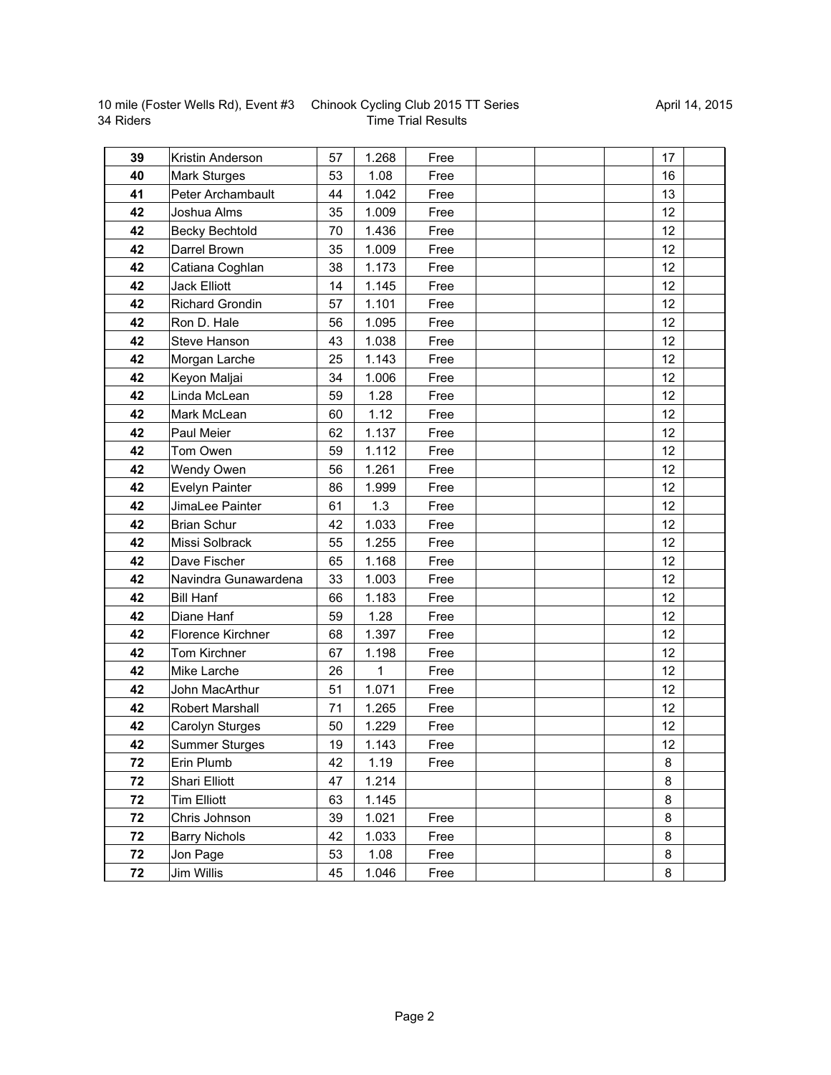| 10 mile (Foster Wells Rd), Event #3 |  |
|-------------------------------------|--|
| 34 Riders                           |  |

## Chinook Cycling Club 2015 TT Series Time Trial Results

| 39 | Kristin Anderson         | 57 | 1.268 | Free | 17              |  |
|----|--------------------------|----|-------|------|-----------------|--|
| 40 | <b>Mark Sturges</b>      | 53 | 1.08  | Free | 16              |  |
| 41 | Peter Archambault        | 44 | 1.042 | Free | 13              |  |
| 42 | Joshua Alms              | 35 | 1.009 | Free | 12              |  |
| 42 | <b>Becky Bechtold</b>    | 70 | 1.436 | Free | 12              |  |
| 42 | Darrel Brown             | 35 | 1.009 | Free | 12              |  |
| 42 | Catiana Coghlan          | 38 | 1.173 | Free | 12              |  |
| 42 | <b>Jack Elliott</b>      | 14 | 1.145 | Free | 12              |  |
| 42 | <b>Richard Grondin</b>   | 57 | 1.101 | Free | 12              |  |
| 42 | Ron D. Hale              | 56 | 1.095 | Free | 12              |  |
| 42 | Steve Hanson             | 43 | 1.038 | Free | 12 <sub>2</sub> |  |
| 42 | Morgan Larche            | 25 | 1.143 | Free | 12              |  |
| 42 | Keyon Maljai             | 34 | 1.006 | Free | 12              |  |
| 42 | Linda McLean             | 59 | 1.28  | Free | 12              |  |
| 42 | Mark McLean              | 60 | 1.12  | Free | 12 <sub>2</sub> |  |
| 42 | Paul Meier               | 62 | 1.137 | Free | 12              |  |
| 42 | Tom Owen                 | 59 | 1.112 | Free | 12              |  |
| 42 | Wendy Owen               | 56 | 1.261 | Free | 12              |  |
| 42 | Evelyn Painter           | 86 | 1.999 | Free | 12              |  |
| 42 | JimaLee Painter          | 61 | 1.3   | Free | 12              |  |
| 42 | <b>Brian Schur</b>       | 42 | 1.033 | Free | 12              |  |
| 42 | Missi Solbrack           | 55 | 1.255 | Free | 12              |  |
| 42 | Dave Fischer             | 65 | 1.168 | Free | 12              |  |
| 42 | Navindra Gunawardena     | 33 | 1.003 | Free | 12              |  |
| 42 | <b>Bill Hanf</b>         | 66 | 1.183 | Free | 12              |  |
| 42 | Diane Hanf               | 59 | 1.28  | Free | 12              |  |
| 42 | <b>Florence Kirchner</b> | 68 | 1.397 | Free | 12              |  |
| 42 | Tom Kirchner             | 67 | 1.198 | Free | 12              |  |
| 42 | Mike Larche              | 26 | 1     | Free | 12              |  |
| 42 | John MacArthur           | 51 | 1.071 | Free | 12              |  |
| 42 | Robert Marshall          | 71 | 1.265 | Free | 12              |  |
| 42 | Carolyn Sturges          | 50 | 1.229 | Free | 12              |  |
| 42 | <b>Summer Sturges</b>    | 19 | 1.143 | Free | 12              |  |
| 72 | Erin Plumb               | 42 | 1.19  | Free | 8               |  |
| 72 | Shari Elliott            | 47 | 1.214 |      | 8               |  |
| 72 | Tim Elliott              | 63 | 1.145 |      | 8               |  |
| 72 | Chris Johnson            | 39 | 1.021 | Free | 8               |  |
| 72 | <b>Barry Nichols</b>     | 42 | 1.033 | Free | 8               |  |
| 72 | Jon Page                 | 53 | 1.08  | Free | 8               |  |
| 72 | Jim Willis               | 45 | 1.046 | Free | 8               |  |